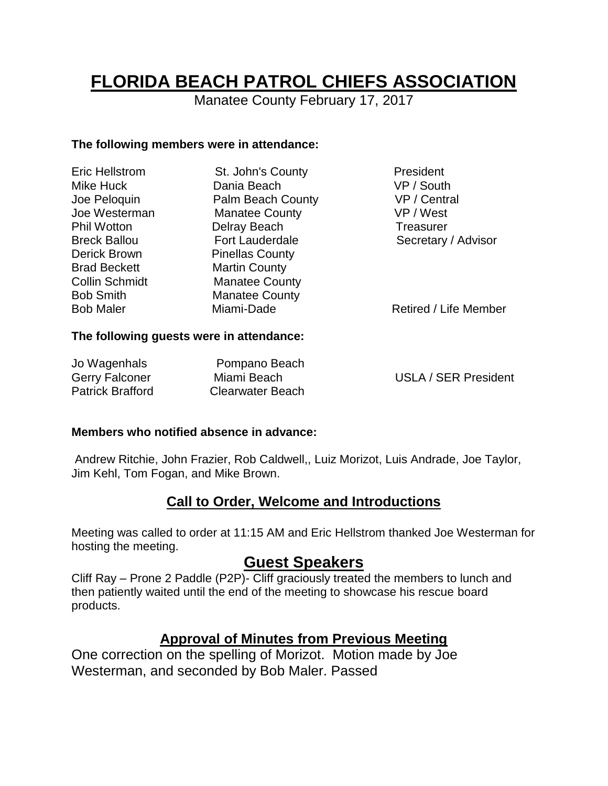# **FLORIDA BEACH PATROL CHIEFS ASSOCIATION**

Manatee County February 17, 2017

#### **The following members were in attendance:**

| <b>Eric Hellstrom</b> | St. John's County      | President             |
|-----------------------|------------------------|-----------------------|
| Mike Huck             | Dania Beach            | VP / South            |
| Joe Peloquin          | Palm Beach County      | VP / Central          |
| Joe Westerman         | <b>Manatee County</b>  | VP / West             |
| <b>Phil Wotton</b>    | Delray Beach           | Treasurer             |
| <b>Breck Ballou</b>   | <b>Fort Lauderdale</b> | Secretary / Advisor   |
| Derick Brown          | <b>Pinellas County</b> |                       |
| <b>Brad Beckett</b>   | <b>Martin County</b>   |                       |
| <b>Collin Schmidt</b> | <b>Manatee County</b>  |                       |
| <b>Bob Smith</b>      | <b>Manatee County</b>  |                       |
| <b>Bob Maler</b>      | Miami-Dade             | Retired / Life Member |
|                       |                        |                       |

#### **The following guests were in attendance:**

| Jo Wagenhals            | Pompano Beach    |                             |
|-------------------------|------------------|-----------------------------|
| <b>Gerry Falconer</b>   | Miami Beach      | <b>USLA / SER President</b> |
| <b>Patrick Brafford</b> | Clearwater Beach |                             |

#### **Members who notified absence in advance:**

Andrew Ritchie, John Frazier, Rob Caldwell,, Luiz Morizot, Luis Andrade, Joe Taylor, Jim Kehl, Tom Fogan, and Mike Brown.

# **Call to Order, Welcome and Introductions**

Meeting was called to order at 11:15 AM and Eric Hellstrom thanked Joe Westerman for hosting the meeting.

# **Guest Speakers**

Cliff Ray – Prone 2 Paddle (P2P)- Cliff graciously treated the members to lunch and then patiently waited until the end of the meeting to showcase his rescue board products.

# **Approval of Minutes from Previous Meeting**

One correction on the spelling of Morizot. Motion made by Joe Westerman, and seconded by Bob Maler. Passed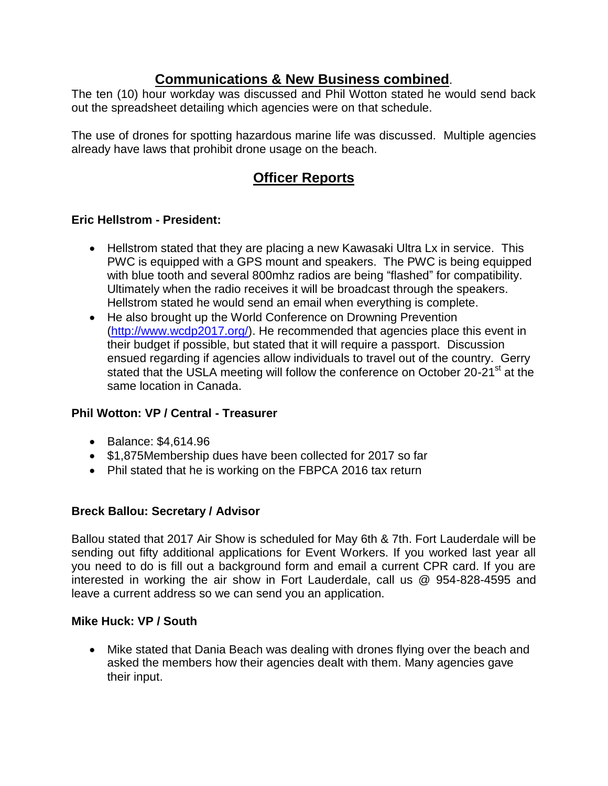## **Communications & New Business combined**.

The ten (10) hour workday was discussed and Phil Wotton stated he would send back out the spreadsheet detailing which agencies were on that schedule.

The use of drones for spotting hazardous marine life was discussed. Multiple agencies already have laws that prohibit drone usage on the beach.

# **Officer Reports**

### **Eric Hellstrom - President:**

- Hellstrom stated that they are placing a new Kawasaki Ultra Lx in service. This PWC is equipped with a GPS mount and speakers. The PWC is being equipped with blue tooth and several 800mhz radios are being "flashed" for compatibility. Ultimately when the radio receives it will be broadcast through the speakers. Hellstrom stated he would send an email when everything is complete.
- He also brought up the World Conference on Drowning Prevention [\(http://www.wcdp2017.org/\)](http://www.wcdp2017.org/). He recommended that agencies place this event in their budget if possible, but stated that it will require a passport. Discussion ensued regarding if agencies allow individuals to travel out of the country. Gerry stated that the USLA meeting will follow the conference on October 20-21<sup>st</sup> at the same location in Canada.

#### **Phil Wotton: VP / Central - Treasurer**

- **Balance: \$4,614.96**
- \$1,875Membership dues have been collected for 2017 so far
- Phil stated that he is working on the FBPCA 2016 tax return

#### **Breck Ballou: Secretary / Advisor**

Ballou stated that 2017 Air Show is scheduled for May 6th & 7th. Fort Lauderdale will be sending out fifty additional applications for Event Workers. If you worked last year all you need to do is fill out a background form and email a current CPR card. If you are interested in working the air show in Fort Lauderdale, call us @ 954-828-4595 and leave a current address so we can send you an application.

#### **Mike Huck: VP / South**

• Mike stated that Dania Beach was dealing with drones flying over the beach and asked the members how their agencies dealt with them. Many agencies gave their input.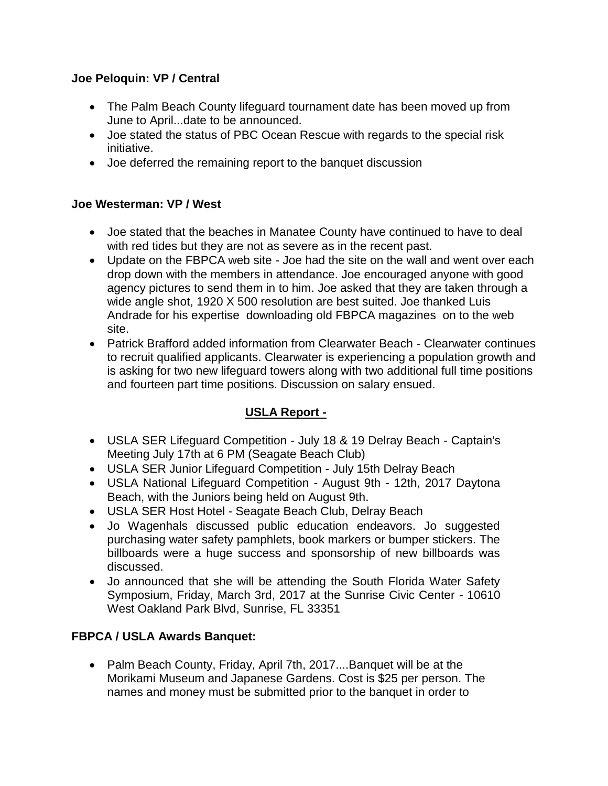#### **Joe Peloquin: VP / Central**

- The Palm Beach County lifeguard tournament date has been moved up from June to April...date to be announced.
- Joe stated the status of PBC Ocean Rescue with regards to the special risk initiative.
- Joe deferred the remaining report to the banquet discussion

#### **Joe Westerman: VP / West**

- Joe stated that the beaches in Manatee County have continued to have to deal with red tides but they are not as severe as in the recent past.
- Update on the FBPCA web site Joe had the site on the wall and went over each drop down with the members in attendance. Joe encouraged anyone with good agency pictures to send them in to him. Joe asked that they are taken through a wide angle shot, 1920 X 500 resolution are best suited. Joe thanked Luis Andrade for his expertise downloading old FBPCA magazines on to the web site.
- Patrick Brafford added information from Clearwater Beach Clearwater continues to recruit qualified applicants. Clearwater is experiencing a population growth and is asking for two new lifeguard towers along with two additional full time positions and fourteen part time positions. Discussion on salary ensued.

## **USLA Report -**

- USLA SER Lifeguard Competition July 18 & 19 Delray Beach Captain's Meeting July 17th at 6 PM (Seagate Beach Club)
- USLA SER Junior Lifeguard Competition July 15th Delray Beach
- USLA National Lifeguard Competition August 9th 12th, 2017 Daytona Beach, with the Juniors being held on August 9th.
- USLA SER Host Hotel Seagate Beach Club, Delray Beach
- Jo Wagenhals discussed public education endeavors. Jo suggested purchasing water safety pamphlets, book markers or bumper stickers. The billboards were a huge success and sponsorship of new billboards was discussed.
- Jo announced that she will be attending the South Florida Water Safety Symposium, Friday, March 3rd, 2017 at the Sunrise Civic Center - 10610 West Oakland Park Blvd, Sunrise, FL 33351

#### **FBPCA / USLA Awards Banquet:**

• Palm Beach County, Friday, April 7th, 2017....Banquet will be at the Morikami Museum and Japanese Gardens. Cost is \$25 per person. The names and money must be submitted prior to the banquet in order to